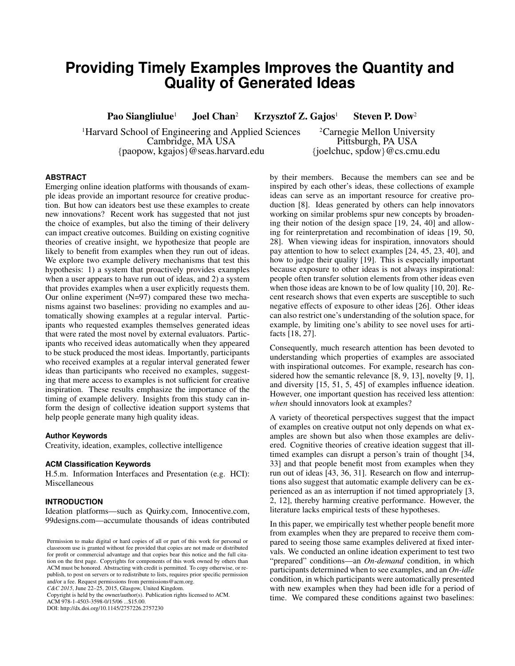# **Providing Timely Examples Improves the Quantity and Quality of Generated Ideas**

Pao Siangliulue<sup>1</sup> Joel Chan<sup>2</sup> Krzysztof Z. Gajos<sup>1</sup> Steven P. Dow<sup>2</sup>

<sup>1</sup>Harvard School of Engineering and Applied Sciences Cambridge, MA USA {paopow, kgajos}@seas.harvard.edu

<sup>2</sup>Carnegie Mellon University Pittsburgh, PA USA {joelchuc, spdow}@cs.cmu.edu

# **ABSTRACT**

Emerging online ideation platforms with thousands of example ideas provide an important resource for creative production. But how can ideators best use these examples to create new innovations? Recent work has suggested that not just the choice of examples, but also the timing of their delivery can impact creative outcomes. Building on existing cognitive theories of creative insight, we hypothesize that people are likely to benefit from examples when they run out of ideas. We explore two example delivery mechanisms that test this hypothesis: 1) a system that proactively provides examples when a user appears to have run out of ideas, and 2) a system that provides examples when a user explicitly requests them. Our online experiment  $(N=97)$  compared these two mechanisms against two baselines: providing no examples and automatically showing examples at a regular interval. Participants who requested examples themselves generated ideas that were rated the most novel by external evaluators. Participants who received ideas automatically when they appeared to be stuck produced the most ideas. Importantly, participants who received examples at a regular interval generated fewer ideas than participants who received no examples, suggesting that mere access to examples is not sufficient for creative inspiration. These results emphasize the importance of the timing of example delivery. Insights from this study can inform the design of collective ideation support systems that help people generate many high quality ideas.

# **Author Keywords**

Creativity, ideation, examples, collective intelligence

## **ACM Classification Keywords**

H.5.m. Information Interfaces and Presentation (e.g. HCI): Miscellaneous

# **INTRODUCTION**

Ideation platforms—such as Quirky.com, Innocentive.com, 99designs.com—accumulate thousands of ideas contributed

*C&C 2015*, June 22–25, 2015, Glasgow, United Kingdom. Copyright is held by the owner/author(s). Publication rights licensed to ACM.

ACM 978-1-4503-3598-0/15/06 ...\$15.00.

DOI: http://dx.doi.org/10.1145/2757226.2757230

by their members. Because the members can see and be inspired by each other's ideas, these collections of example ideas can serve as an important resource for creative production [\[8\]](#page-8-0). Ideas generated by others can help innovators working on similar problems spur new concepts by broadening their notion of the design space [\[19,](#page-8-1) [24,](#page-8-2) [40\]](#page-9-0) and allowing for reinterpretation and recombination of ideas [\[19,](#page-8-1) [50,](#page-9-1) [28\]](#page-9-2). When viewing ideas for inspiration, innovators should pay attention to how to select examples [\[24,](#page-8-2) [45,](#page-9-3) [23,](#page-8-3) [40\]](#page-9-0), and how to judge their quality [\[19\]](#page-8-1). This is especially important because exposure to other ideas is not always inspirational: people often transfer solution elements from other ideas even when those ideas are known to be of low quality [\[10,](#page-8-4) [20\]](#page-8-5). Recent research shows that even experts are susceptible to such negative effects of exposure to other ideas [\[26\]](#page-9-4). Other ideas can also restrict one's understanding of the solution space, for example, by limiting one's ability to see novel uses for artifacts [\[18,](#page-8-6) [27\]](#page-9-5).

Consequently, much research attention has been devoted to understanding which properties of examples are associated with inspirational outcomes. For example, research has considered how the semantic relevance [\[8,](#page-8-0) [9,](#page-8-7) [13\]](#page-8-8), novelty [\[9,](#page-8-7) [1\]](#page-8-9), and diversity [\[15,](#page-8-10) [51,](#page-9-6) [5,](#page-8-11) [45\]](#page-9-3) of examples influence ideation. However, one important question has received less attention: *when* should innovators look at examples?

A variety of theoretical perspectives suggest that the impact of examples on creative output not only depends on what examples are shown but also when those examples are delivered. Cognitive theories of creative ideation suggest that illtimed examples can disrupt a person's train of thought [\[34,](#page-9-7) [33\]](#page-9-8) and that people benefit most from examples when they run out of ideas [\[43,](#page-9-9) [36,](#page-9-10) [31\]](#page-9-11). Research on flow and interruptions also suggest that automatic example delivery can be experienced as an as interruption if not timed appropriately [\[3,](#page-8-12) [2,](#page-8-13) [12\]](#page-8-14), thereby harming creative performance. However, the literature lacks empirical tests of these hypotheses.

In this paper, we empirically test whether people benefit more from examples when they are prepared to receive them compared to seeing those same examples delivered at fixed intervals. We conducted an online ideation experiment to test two "prepared" conditions—an *On-demand* condition, in which participants determined when to see examples, and an *On-idle* condition, in which participants were automatically presented with new examples when they had been idle for a period of time. We compared these conditions against two baselines:

Permission to make digital or hard copies of all or part of this work for personal or classroom use is granted without fee provided that copies are not made or distributed for profit or commercial advantage and that copies bear this notice and the full citation on the first page. Copyrights for components of this work owned by others than ACM must be honored. Abstracting with credit is permitted. To copy otherwise, or republish, to post on servers or to redistribute to lists, requires prior specific permission and/or a fee. Request permissions from permissions@acm.org.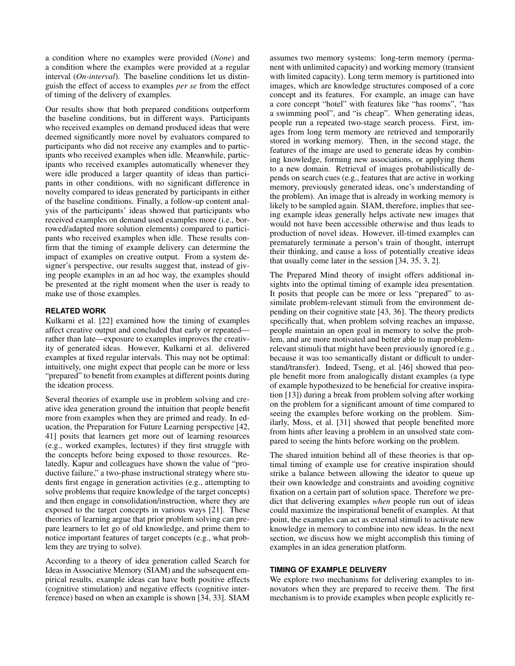a condition where no examples were provided (*None*) and a condition where the examples were provided at a regular interval (*On-interval*). The baseline conditions let us distinguish the effect of access to examples *per se* from the effect of timing of the delivery of examples.

Our results show that both prepared conditions outperform the baseline conditions, but in different ways. Participants who received examples on demand produced ideas that were deemed significantly more novel by evaluators compared to participants who did not receive any examples and to participants who received examples when idle. Meanwhile, participants who received examples automatically whenever they were idle produced a larger quantity of ideas than participants in other conditions, with no significant difference in novelty compared to ideas generated by participants in either of the baseline conditions. Finally, a follow-up content analysis of the participants' ideas showed that participants who received examples on demand used examples more (i.e., borrowed/adapted more solution elements) compared to participants who received examples when idle. These results confirm that the timing of example delivery can determine the impact of examples on creative output. From a system designer's perspective, our results suggest that, instead of giving people examples in an ad hoc way, the examples should be presented at the right moment when the user is ready to make use of those examples.

# **RELATED WORK**

Kulkarni et al. [\[22\]](#page-8-15) examined how the timing of examples affect creative output and concluded that early or repeated rather than late—exposure to examples improves the creativity of generated ideas. However, Kulkarni et al. delivered examples at fixed regular intervals. This may not be optimal: intuitively, one might expect that people can be more or less "prepared" to benefit from examples at different points during the ideation process.

Several theories of example use in problem solving and creative idea generation ground the intuition that people benefit more from examples when they are primed and ready. In education, the Preparation for Future Learning perspective [\[42,](#page-9-12) [41\]](#page-9-13) posits that learners get more out of learning resources (e.g., worked examples, lectures) if they first struggle with the concepts before being exposed to those resources. Relatedly, Kapur and colleagues have shown the value of "productive failure," a two-phase instructional strategy where students first engage in generation activities (e.g., attempting to solve problems that require knowledge of the target concepts) and then engage in consolidation/instruction, where they are exposed to the target concepts in various ways [\[21\]](#page-8-16). These theories of learning argue that prior problem solving can prepare learners to let go of old knowledge, and prime them to notice important features of target concepts (e.g., what problem they are trying to solve).

According to a theory of idea generation called Search for Ideas in Associative Memory (SIAM) and the subsequent empirical results, example ideas can have both positive effects (cognitive stimulation) and negative effects (cognitive interference) based on when an example is shown [\[34,](#page-9-7) [33\]](#page-9-8). SIAM

assumes two memory systems: long-term memory (permanent with unlimited capacity) and working memory (transient with limited capacity). Long term memory is partitioned into images, which are knowledge structures composed of a core concept and its features. For example, an image can have a core concept "hotel" with features like "has rooms", "has a swimming pool", and "is cheap". When generating ideas, people run a repeated two-stage search process. First, images from long term memory are retrieved and temporarily stored in working memory. Then, in the second stage, the features of the image are used to generate ideas by combining knowledge, forming new associations, or applying them to a new domain. Retrieval of images probabilistically depends on search cues (e.g., features that are active in working memory, previously generated ideas, one's understanding of the problem). An image that is already in working memory is likely to be sampled again. SIAM, therefore, implies that seeing example ideas generally helps activate new images that would not have been accessible otherwise and thus leads to production of novel ideas. However, ill-timed examples can prematurely terminate a person's train of thought, interrupt their thinking, and cause a loss of potentially creative ideas that usually come later in the session [\[34,](#page-9-7) [35,](#page-9-14) [3,](#page-8-12) [2\]](#page-8-13).

The Prepared Mind theory of insight offers additional insights into the optimal timing of example idea presentation. It posits that people can be more or less "prepared" to assimilate problem-relevant stimuli from the environment depending on their cognitive state [\[43,](#page-9-9) [36\]](#page-9-10). The theory predicts specifically that, when problem solving reaches an impasse, people maintain an open goal in memory to solve the problem, and are more motivated and better able to map problemrelevant stimuli that might have been previously ignored (e.g., because it was too semantically distant or difficult to understand/transfer). Indeed, Tseng, et al. [\[46\]](#page-9-15) showed that people benefit more from analogically distant examples (a type of example hypothesized to be beneficial for creative inspiration [\[13\]](#page-8-8)) during a break from problem solving after working on the problem for a significant amount of time compared to seeing the examples before working on the problem. Similarly, Moss, et al. [\[31\]](#page-9-11) showed that people benefited more from hints after leaving a problem in an unsolved state compared to seeing the hints before working on the problem.

The shared intuition behind all of these theories is that optimal timing of example use for creative inspiration should strike a balance between allowing the ideator to queue up their own knowledge and constraints and avoiding cognitive fixation on a certain part of solution space. Therefore we predict that delivering examples *when* people run out of ideas could maximize the inspirational benefit of examples. At that point, the examples can act as external stimuli to activate new knowledge in memory to combine into new ideas. In the next section, we discuss how we might accomplish this timing of examples in an idea generation platform.

# **TIMING OF EXAMPLE DELIVERY**

We explore two mechanisms for delivering examples to innovators when they are prepared to receive them. The first mechanism is to provide examples when people explicitly re-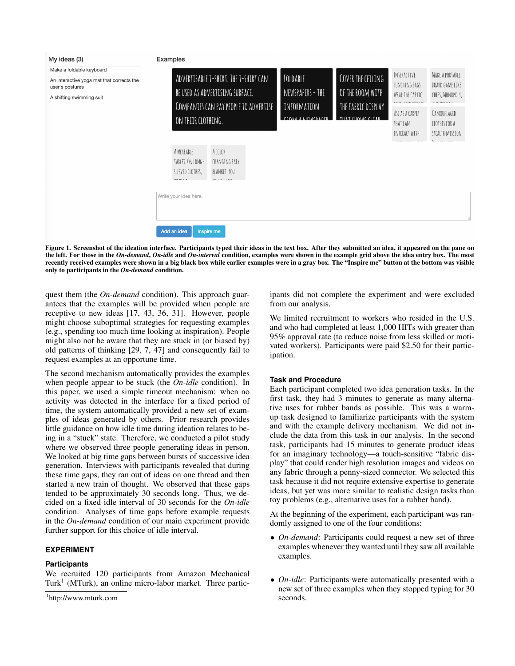

Figure 1. Screenshot of the ideation interface. Participants typed their ideas in the text box. After they submitted an idea, it appeared on the pane on the left. For those in the *On-demand*, *On-idle* and *On-interval* condition, examples were shown in the example grid above the idea entry box. The most recently received examples were shown in a big black box while earlier examples were in a gray box. The "Inspire me" button at the bottom was visible only to participants in the *On-demand* condition.

<span id="page-2-1"></span>quest them (the *On-demand* condition). This approach guarantees that the examples will be provided when people are receptive to new ideas [\[17,](#page-8-17) [43,](#page-9-9) [36,](#page-9-10) [31\]](#page-9-11). However, people might choose suboptimal strategies for requesting examples (e.g., spending too much time looking at inspiration). People might also not be aware that they are stuck in (or biased by) old patterns of thinking [\[29,](#page-9-16) [7,](#page-8-18) [47\]](#page-9-17) and consequently fail to request examples at an opportune time.

The second mechanism automatically provides the examples when people appear to be stuck (the *On-idle* condition). In this paper, we used a simple timeout mechanism: when no activity was detected in the interface for a fixed period of time, the system automatically provided a new set of examples of ideas generated by others. Prior research provides little guidance on how idle time during ideation relates to being in a "stuck" state. Therefore, we conducted a pilot study where we observed three people generating ideas in person. We looked at big time gaps between bursts of successive idea generation. Interviews with participants revealed that during these time gaps, they ran out of ideas on one thread and then started a new train of thought. We observed that these gaps tended to be approximately 30 seconds long. Thus, we decided on a fixed idle interval of 30 seconds for the *On-idle* condition. Analyses of time gaps before example requests in the *On-demand* condition of our main experiment provide further support for this choice of idle interval.

# **EXPERIMENT**

# **Participants**

We recruited 120 participants from Amazon Mechanical Turk<sup>[1](#page-2-0)</sup> (MTurk), an online micro-labor market. Three partic-

ipants did not complete the experiment and were excluded from our analysis.

We limited recruitment to workers who resided in the U.S. and who had completed at least 1,000 HITs with greater than 95% approval rate (to reduce noise from less skilled or motivated workers). Participants were paid \$2.50 for their participation.

# **Task and Procedure**

Each participant completed two idea generation tasks. In the first task, they had 3 minutes to generate as many alternative uses for rubber bands as possible. This was a warmup task designed to familiarize participants with the system and with the example delivery mechanism. We did not include the data from this task in our analysis. In the second task, participants had 15 minutes to generate product ideas for an imaginary technology—a touch-sensitive "fabric display" that could render high resolution images and videos on any fabric through a penny-sized connector. We selected this task because it did not require extensive expertise to generate ideas, but yet was more similar to realistic design tasks than toy problems (e.g., alternative uses for a rubber band).

At the beginning of the experiment, each participant was randomly assigned to one of the four conditions:

- *On-demand*: Participants could request a new set of three examples whenever they wanted until they saw all available examples.
- *On-idle*: Participants were automatically presented with a new set of three examples when they stopped typing for 30 seconds.

<span id="page-2-0"></span><sup>1</sup> http://www.mturk.com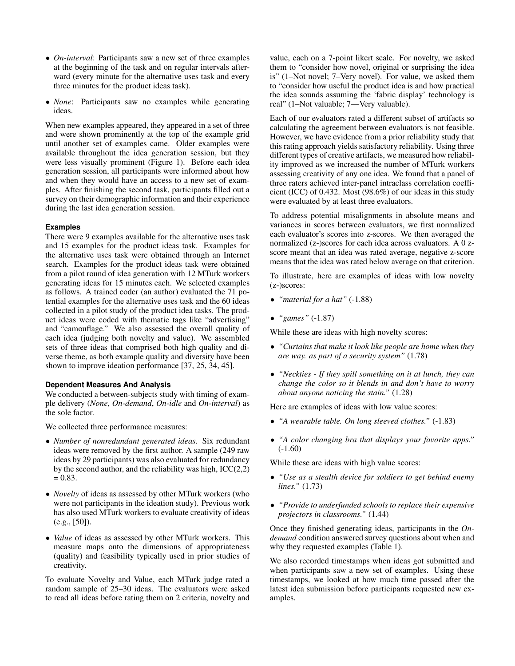- *On-interval*: Participants saw a new set of three examples at the beginning of the task and on regular intervals afterward (every minute for the alternative uses task and every three minutes for the product ideas task).
- *None*: Participants saw no examples while generating ideas.

When new examples appeared, they appeared in a set of three and were shown prominently at the top of the example grid until another set of examples came. Older examples were available throughout the idea generation session, but they were less visually prominent (Figure [1\)](#page-2-1). Before each idea generation session, all participants were informed about how and when they would have an access to a new set of examples. After finishing the second task, participants filled out a survey on their demographic information and their experience during the last idea generation session.

# **Examples**

There were 9 examples available for the alternative uses task and 15 examples for the product ideas task. Examples for the alternative uses task were obtained through an Internet search. Examples for the product ideas task were obtained from a pilot round of idea generation with 12 MTurk workers generating ideas for 15 minutes each. We selected examples as follows. A trained coder (an author) evaluated the 71 potential examples for the alternative uses task and the 60 ideas collected in a pilot study of the product idea tasks. The product ideas were coded with thematic tags like "advertising" and "camouflage." We also assessed the overall quality of each idea (judging both novelty and value). We assembled sets of three ideas that comprised both high quality and diverse theme, as both example quality and diversity have been shown to improve ideation performance [\[37,](#page-9-18) [25,](#page-8-19) [34,](#page-9-7) [45\]](#page-9-3).

# **Dependent Measures And Analysis**

We conducted a between-subjects study with timing of example delivery (*None*, *On-demand*, *On-idle* and *On-interval*) as the sole factor.

We collected three performance measures:

- *Number of nonredundant generated ideas.* Six redundant ideas were removed by the first author. A sample (249 raw ideas by 29 participants) was also evaluated for redundancy by the second author, and the reliability was high,  $\text{ICC}(2,2)$  $= 0.83.$
- *Novelty* of ideas as assessed by other MTurk workers (who were not participants in the ideation study). Previous work has also used MTurk workers to evaluate creativity of ideas (e.g., [\[50\]](#page-9-1)).
- *Value* of ideas as assessed by other MTurk workers. This measure maps onto the dimensions of appropriateness (quality) and feasibility typically used in prior studies of creativity.

To evaluate Novelty and Value, each MTurk judge rated a random sample of 25–30 ideas. The evaluators were asked to read all ideas before rating them on 2 criteria, novelty and value, each on a 7-point likert scale. For novelty, we asked them to "consider how novel, original or surprising the idea is" (1–Not novel; 7–Very novel). For value, we asked them to "consider how useful the product idea is and how practical the idea sounds assuming the 'fabric display' technology is real" (1–Not valuable; 7—Very valuable).

Each of our evaluators rated a different subset of artifacts so calculating the agreement between evaluators is not feasible. However, we have evidence from a prior reliability study that this rating approach yields satisfactory reliability. Using three different types of creative artifacts, we measured how reliability improved as we increased the number of MTurk workers assessing creativity of any one idea. We found that a panel of three raters achieved inter-panel intraclass correlation coefficient (ICC) of 0.432. Most (98.6%) of our ideas in this study were evaluated by at least three evaluators.

To address potential misalignments in absolute means and variances in scores between evaluators, we first normalized each evaluator's scores into z-scores. We then averaged the normalized (z-)scores for each idea across evaluators. A 0 zscore meant that an idea was rated average, negative z-score means that the idea was rated below average on that criterion.

To illustrate, here are examples of ideas with low novelty (z-)scores:

- *"material for a hat"* (-1.88)
- *"games"* (-1.87)

While these are ideas with high novelty scores:

- *"Curtains that make it look like people are home when they are way. as part of a security system"* (1.78)
- *"Neckties If they spill something on it at lunch, they can change the color so it blends in and don't have to worry about anyone noticing the stain."* (1.28)

Here are examples of ideas with low value scores:

- *"A wearable table. On long sleeved clothes."* (-1.83)
- *"A color changing bra that displays your favorite apps."* (-1.60)

While these are ideas with high value scores:

- *"Use as a stealth device for soldiers to get behind enemy lines."* (1.73)
- *"Provide to underfunded schools to replace their expensive projectors in classrooms."* (1.44)

Once they finished generating ideas, participants in the *Ondemand* condition answered survey questions about when and why they requested examples (Table [1\)](#page-4-0).

We also recorded timestamps when ideas got submitted and when participants saw a new set of examples. Using these timestamps, we looked at how much time passed after the latest idea submission before participants requested new examples.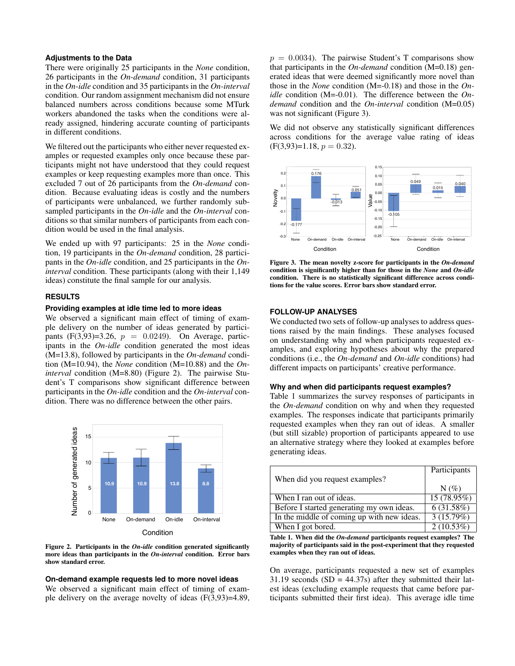#### **Adjustments to the Data**

There were originally 25 participants in the *None* condition, 26 participants in the *On-demand* condition, 31 participants in the *On-idle* condition and 35 participants in the *On-interval* condition. Our random assignment mechanism did not ensure balanced numbers across conditions because some MTurk workers abandoned the tasks when the conditions were already assigned, hindering accurate counting of participants in different conditions.

We filtered out the participants who either never requested examples or requested examples only once because these participants might not have understood that they could request examples or keep requesting examples more than once. This excluded 7 out of 26 participants from the *On-demand* condition. Because evaluating ideas is costly and the numbers of participants were unbalanced, we further randomly subsampled participants in the *On-idle* and the *On-interval* conditions so that similar numbers of participants from each condition would be used in the final analysis.

We ended up with 97 participants: 25 in the *None* condition, 19 participants in the *On-demand* condition, 28 participants in the *On-idle* condition, and 25 participants in the *Oninterval* condition. These participants (along with their 1,149 ideas) constitute the final sample for our analysis.

## **RESULTS**

#### **Providing examples at idle time led to more ideas**

We observed a significant main effect of timing of example delivery on the number of ideas generated by participants  $(F(3, 93)=3.26, p = 0.0249)$ . On Average, participants in the *On-idle* condition generated the most ideas (M=13.8), followed by participants in the *On-demand* condition (M=10.94), the *None* condition (M=10.88) and the *Oninterval* condition (M=8.80) (Figure [2\)](#page-4-1). The pairwise Student's T comparisons show significant difference between participants in the *On-idle* condition and the *On-interval* condition. There was no difference between the other pairs.



<span id="page-4-1"></span>Figure 2. Participants in the *On-idle* condition generated significantly more ideas than participants in the *On-interval* condition. Error bars show standard error.

## **On-demand example requests led to more novel ideas**

We observed a significant main effect of timing of example delivery on the average novelty of ideas (F(3,93)=4.89,  $p = 0.0034$ . The pairwise Student's T comparisons show that participants in the *On-demand* condition (M=0.18) generated ideas that were deemed significantly more novel than those in the *None* condition (M=-0.18) and those in the *Onidle* condition (M=-0.01). The difference between the *Ondemand* condition and the *On-interval* condition (M=0.05) was not significant (Figure [3\)](#page-4-2).

We did not observe any statistically significant differences across conditions for the average value rating of ideas  $(F(3,93)=1.18, p = 0.32).$ 



<span id="page-4-2"></span>Figure 3. The mean novelty z-score for participants in the *On-demand* condition is significantly higher than for those in the *None* and *On-idle* condition. There is no statistically significant difference across conditions for the value scores. Error bars show standard error.

## **FOLLOW-UP ANALYSES**

We conducted two sets of follow-up analyses to address questions raised by the main findings. These analyses focused on understanding why and when participants requested examples, and exploring hypotheses about why the prepared conditions (i.e., the *On-demand* and *On-idle* conditions) had different impacts on participants' creative performance.

# **Why and when did participants request examples?**

Table [1](#page-4-0) summarizes the survey responses of participants in the *On-demand* condition on why and when they requested examples. The responses indicate that participants primarily requested examples when they ran out of ideas. A smaller (but still sizable) proportion of participants appeared to use an alternative strategy where they looked at examples before generating ideas.

|                                            | Participants |
|--------------------------------------------|--------------|
| When did you request examples?             |              |
|                                            | $N(\%)$      |
| When I ran out of ideas.                   | 15(78.95%)   |
| Before I started generating my own ideas.  | 6(31.58%)    |
| In the middle of coming up with new ideas. | 3(15.79%)    |
| When I got bored.                          | 2(10.53%)    |

<span id="page-4-0"></span>Table 1. When did the *On-demand* participants request examples? The majority of participants said in the post-experiment that they requested examples when they ran out of ideas.

On average, participants requested a new set of examples  $31.19$  seconds  $(SD = 44.37s)$  after they submitted their latest ideas (excluding example requests that came before participants submitted their first idea). This average idle time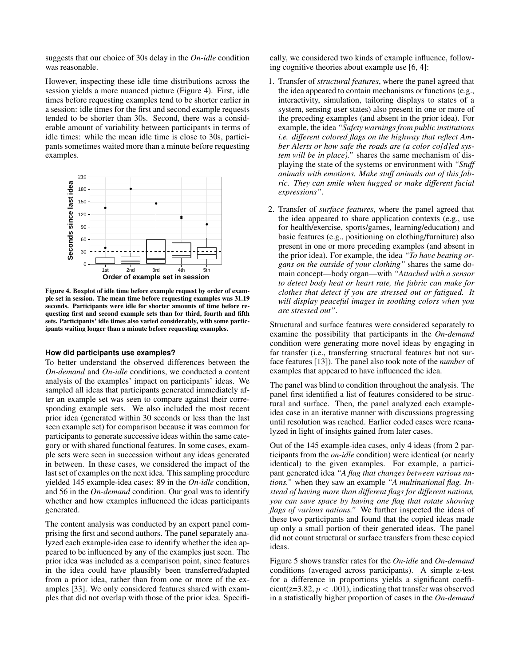suggests that our choice of 30s delay in the *On-idle* condition was reasonable.

However, inspecting these idle time distributions across the session yields a more nuanced picture (Figure [4\)](#page-5-0). First, idle times before requesting examples tend to be shorter earlier in a session: idle times for the first and second example requests tended to be shorter than 30s. Second, there was a considerable amount of variability between participants in terms of idle times: while the mean idle time is close to 30s, participants sometimes waited more than a minute before requesting examples.



<span id="page-5-0"></span>Figure 4. Boxplot of idle time before example request by order of example set in session. The mean time before requesting examples was 31.19 seconds. Participants were idle for shorter amounts of time before requesting first and second example sets than for third, fourth and fifth sets. Participants' idle times also varied considerably, with some participants waiting longer than a minute before requesting examples.

#### **How did participants use examples?**

To better understand the observed differences between the *On-demand* and *On-idle* conditions, we conducted a content analysis of the examples' impact on participants' ideas. We sampled all ideas that participants generated immediately after an example set was seen to compare against their corresponding example sets. We also included the most recent prior idea (generated within 30 seconds or less than the last seen example set) for comparison because it was common for participants to generate successive ideas within the same category or with shared functional features. In some cases, example sets were seen in succession without any ideas generated in between. In these cases, we considered the impact of the last set of examples on the next idea. This sampling procedure yielded 145 example-idea cases: 89 in the *On-idle* condition, and 56 in the *On-demand* condition. Our goal was to identify whether and how examples influenced the ideas participants generated.

The content analysis was conducted by an expert panel comprising the first and second authors. The panel separately analyzed each example-idea case to identify whether the idea appeared to be influenced by any of the examples just seen. The prior idea was included as a comparison point, since features in the idea could have plausibly been transferred/adapted from a prior idea, rather than from one or more of the examples [\[33\]](#page-9-8). We only considered features shared with examples that did not overlap with those of the prior idea. Specifically, we considered two kinds of example influence, following cognitive theories about example use [\[6,](#page-8-20) [4\]](#page-8-21):

- 1. Transfer of *structural features*, where the panel agreed that the idea appeared to contain mechanisms or functions (e.g., interactivity, simulation, tailoring displays to states of a system, sensing user states) also present in one or more of the preceding examples (and absent in the prior idea). For example, the idea *"Safety warnings from public institutions i.e. different colored flags on the highway that reflect Amber Alerts or how safe the roads are (a color co[d]ed system will be in place)."* shares the same mechanism of displaying the state of the systems or environment with *"Stuff animals with emotions. Make stuff animals out of this fabric. They can smile when hugged or make different facial expressions"*.
- 2. Transfer of *surface features*, where the panel agreed that the idea appeared to share application contexts (e.g., use for health/exercise, sports/games, learning/education) and basic features (e.g., positioning on clothing/furniture) also present in one or more preceding examples (and absent in the prior idea). For example, the idea *"To have beating organs on the outside of your clothing"* shares the same domain concept—body organ—with *"Attached with a sensor to detect body heat or heart rate, the fabric can make for clothes that detect if you are stressed out or fatigued. It will display peaceful images in soothing colors when you are stressed out"*.

Structural and surface features were considered separately to examine the possibility that participants in the *On-demand* condition were generating more novel ideas by engaging in far transfer (i.e., transferring structural features but not surface features [\[13\]](#page-8-8)). The panel also took note of the *number* of examples that appeared to have influenced the idea.

The panel was blind to condition throughout the analysis. The panel first identified a list of features considered to be structural and surface. Then, the panel analyzed each exampleidea case in an iterative manner with discussions progressing until resolution was reached. Earlier coded cases were reanalyzed in light of insights gained from later cases.

Out of the 145 example-idea cases, only 4 ideas (from 2 participants from the *on-idle* condition) were identical (or nearly identical) to the given examples. For example, a participant generated idea *"A flag that changes between various nations."* when they saw an example *"A multinational flag. Instead of having more than different flags for different nations, you can save space by having one flag that rotate showing flags of various nations."* We further inspected the ideas of these two participants and found that the copied ideas made up only a small portion of their generated ideas. The panel did not count structural or surface transfers from these copied ideas.

Figure [5](#page-6-0) shows transfer rates for the *On-idle* and *On-demand* conditions (averaged across participants). A simple z-test for a difference in proportions yields a significant coefficient(z=3.82,  $p < .001$ ), indicating that transfer was observed in a statistically higher proportion of cases in the *On-demand*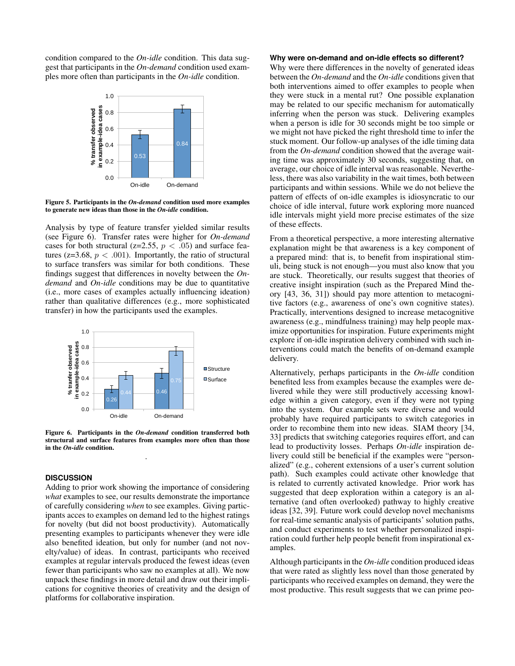condition compared to the *On-idle* condition. This data suggest that participants in the *On-demand* condition used examples more often than participants in the *On-idle* condition.



<span id="page-6-0"></span>to generate new ideas than those in the *On-idle* condition. Figure 5. Participants in the *On-demand* condition used more examples

demand and *On-idle* conditions may be due to quantitative findings suggest that differences in novelty between the *On*to surface transfers was similar for both conditions. These (i.e., more cases of examples actually influencing ideation) cases for both structural  $(z=2.55, p < .05)$  and surface fea-Analysis by type of feature transfer yielded similar results rather than qualitative differences (e.g., more sophisticated t<br>6 th<br>g,<br>g,  $\begin{array}{c} \n\mathbf{p} \cdot \mathbf{s} \\
\mathbf{p} \cdot \mathbf{s} \\
\mathbf{s} \cdot \mathbf{s} \\
\mathbf{s} \cdot \mathbf{s} \\
\mathbf{p} \cdot \mathbf{s} \\
\mathbf{p} \cdot \mathbf{s} \\
\mathbf{p} \cdot \mathbf{s} \\
\mathbf{p} \cdot \mathbf{s} \\
\mathbf{p} \cdot \mathbf{s} \\
\mathbf{p} \cdot \mathbf{s} \\
\mathbf{p} \cdot \mathbf{s} \\
\mathbf{p} \cdot \mathbf{s} \\
\mathbf{p} \cdot \mathbf{s} \\
\mathbf{p} \cdot \mathbf{s} \\
\mathbf{p} \cdot \mathbf{s} \\
\mathbf$ tures ( $z=3.68$ ,  $p < .001$ ). Importantly, the ratio of structural (see Figure [6\)](#page-6-1). Transfer rates were higher for *On-demand* transfer) in how the participants used the examples.  $\begin{array}{c} \text{g} \text{t} \\ \text{h} \text{r} \\ \text{c} \\ \text{s} \end{array}$ **i**<br>**b**<br>e<br>u<br>u<br>in



<span id="page-6-1"></span>Figure 6. Participants in the *On-demand* condition transferred both structural and surface features from examples more often than those in the *On-idle* condition. .

#### **DISCUSSION**

Adding to prior work showing the importance of considering *what* examples to see, our results demonstrate the importance of carefully considering *when* to see examples. Giving participants acces to examples on demand led to the highest ratings for novelty (but did not boost productivity). Automatically presenting examples to participants whenever they were idle also benefited ideation, but only for number (and not novelty/value) of ideas. In contrast, participants who received examples at regular intervals produced the fewest ideas (even fewer than participants who saw no examples at all). We now unpack these findings in more detail and draw out their implications for cognitive theories of creativity and the design of platforms for collaborative inspiration.

#### **Why were on-demand and on-idle effects so different?**

Why were there differences in the novelty of generated ideas between the *On-demand* and the *On-idle* conditions given that both interventions aimed to offer examples to people when they were stuck in a mental rut? One possible explanation may be related to our specific mechanism for automatically inferring when the person was stuck. Delivering examples when a person is idle for 30 seconds might be too simple or we might not have picked the right threshold time to infer the stuck moment. Our follow-up analyses of the idle timing data from the *On-demand* condition showed that the average waiting time was approximately 30 seconds, suggesting that, on average, our choice of idle interval was reasonable. Nevertheless, there was also variability in the wait times, both between participants and within sessions. While we do not believe the pattern of effects of on-idle examples is idiosyncratic to our choice of idle interval, future work exploring more nuanced idle intervals might yield more precise estimates of the size of these effects.

From a theoretical perspective, a more interesting alternative explanation might be that awareness is a key component of a prepared mind: that is, to benefit from inspirational stimuli, being stuck is not enough—you must also know that you are stuck. Theoretically, our results suggest that theories of creative insight inspiration (such as the Prepared Mind theory [\[43,](#page-9-9) [36,](#page-9-10) [31\]](#page-9-11)) should pay more attention to metacognitive factors (e.g., awareness of one's own cognitive states). Practically, interventions designed to increase metacognitive awareness (e.g., mindfulness training) may help people maximize opportunities for inspiration. Future experiments might explore if on-idle inspiration delivery combined with such interventions could match the benefits of on-demand example delivery.

Alternatively, perhaps participants in the *On-idle* condition benefited less from examples because the examples were delivered while they were still productively accessing knowledge within a given category, even if they were not typing into the system. Our example sets were diverse and would probably have required participants to switch categories in order to recombine them into new ideas. SIAM theory [\[34,](#page-9-7) [33\]](#page-9-8) predicts that switching categories requires effort, and can lead to productivity losses. Perhaps *On-idle* inspiration delivery could still be beneficial if the examples were "personalized" (e.g., coherent extensions of a user's current solution path). Such examples could activate other knowledge that is related to currently activated knowledge. Prior work has suggested that deep exploration within a category is an alternative (and often overlooked) pathway to highly creative ideas [\[32,](#page-9-19) [39\]](#page-9-20). Future work could develop novel mechanisms for real-time semantic analysis of participants' solution paths, and conduct experiments to test whether personalized inspiration could further help people benefit from inspirational examples.

Although participants in the *On-idle* condition produced ideas that were rated as slightly less novel than those generated by participants who received examples on demand, they were the most productive. This result suggests that we can prime peo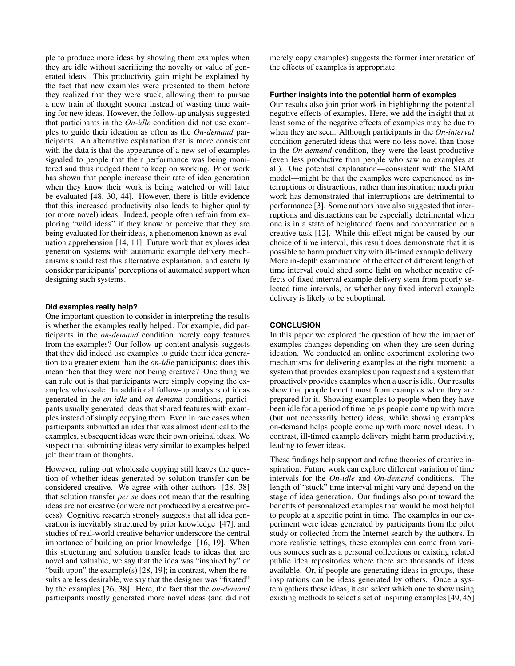ple to produce more ideas by showing them examples when they are idle without sacrificing the novelty or value of generated ideas. This productivity gain might be explained by the fact that new examples were presented to them before they realized that they were stuck, allowing them to pursue a new train of thought sooner instead of wasting time waiting for new ideas. However, the follow-up analysis suggested that participants in the *On-idle* condition did not use examples to guide their ideation as often as the *On-demand* participants. An alternative explanation that is more consistent with the data is that the appearance of a new set of examples signaled to people that their performance was being monitored and thus nudged them to keep on working. Prior work has shown that people increase their rate of idea generation when they know their work is being watched or will later be evaluated [\[48,](#page-9-21) [30,](#page-9-22) [44\]](#page-9-23). However, there is little evidence that this increased productivity also leads to higher quality (or more novel) ideas. Indeed, people often refrain from exploring "wild ideas" if they know or perceive that they are being evaluated for their ideas, a phenomenon known as evaluation apprehension [\[14,](#page-8-22) [11\]](#page-8-23). Future work that explores idea generation systems with automatic example delivery mechanisms should test this alternative explanation, and carefully consider participants' perceptions of automated support when designing such systems.

# **Did examples really help?**

One important question to consider in interpreting the results is whether the examples really helped. For example, did participants in the *on-demand* condition merely copy features from the examples? Our follow-up content analysis suggests that they did indeed use examples to guide their idea generation to a greater extent than the *on-idle* participants: does this mean then that they were not being creative? One thing we can rule out is that participants were simply copying the examples wholesale. In additional follow-up analyses of ideas generated in the *on-idle* and *on-demand* conditions, participants usually generated ideas that shared features with examples instead of simply copying them. Even in rare cases when participants submitted an idea that was almost identical to the examples, subsequent ideas were their own original ideas. We suspect that submitting ideas very similar to examples helped jolt their train of thoughts.

However, ruling out wholesale copying still leaves the question of whether ideas generated by solution transfer can be considered creative. We agree with other authors [\[28,](#page-9-2) [38\]](#page-9-24) that solution transfer *per se* does not mean that the resulting ideas are not creative (or were not produced by a creative process). Cognitive research strongly suggests that all idea generation is inevitably structured by prior knowledge [\[47\]](#page-9-17), and studies of real-world creative behavior underscore the central importance of building on prior knowledge [\[16,](#page-8-24) [19\]](#page-8-1). When this structuring and solution transfer leads to ideas that are novel and valuable, we say that the idea was "inspired by" or "built upon" the example(s) [\[28,](#page-9-2) [19\]](#page-8-1); in contrast, when the results are less desirable, we say that the designer was "fixated" by the examples [\[26,](#page-9-4) [38\]](#page-9-24). Here, the fact that the *on-demand* participants mostly generated more novel ideas (and did not merely copy examples) suggests the former interpretation of the effects of examples is appropriate.

# **Further insights into the potential harm of examples**

Our results also join prior work in highlighting the potential negative effects of examples. Here, we add the insight that at least some of the negative effects of examples may be due to when they are seen. Although participants in the *On-interval* condition generated ideas that were no less novel than those in the *On-demand* condition, they were the least productive (even less productive than people who saw no examples at all). One potential explanation—consistent with the SIAM model—might be that the examples were experienced as interruptions or distractions, rather than inspiration; much prior work has demonstrated that interruptions are detrimental to performance [\[3\]](#page-8-12). Some authors have also suggested that interruptions and distractions can be especially detrimental when one is in a state of heightened focus and concentration on a creative task [\[12\]](#page-8-14). While this effect might be caused by our choice of time interval, this result does demonstrate that it is possible to harm productivity with ill-timed example delivery. More in-depth examination of the effect of different length of time interval could shed some light on whether negative effects of fixed interval example delivery stem from poorly selected time intervals, or whether any fixed interval example delivery is likely to be suboptimal.

# **CONCLUSION**

In this paper we explored the question of how the impact of examples changes depending on when they are seen during ideation. We conducted an online experiment exploring two mechanisms for delivering examples at the right moment: a system that provides examples upon request and a system that proactively provides examples when a user is idle. Our results show that people benefit most from examples when they are prepared for it. Showing examples to people when they have been idle for a period of time helps people come up with more (but not necessarily better) ideas, while showing examples on-demand helps people come up with more novel ideas. In contrast, ill-timed example delivery might harm productivity, leading to fewer ideas.

These findings help support and refine theories of creative inspiration. Future work can explore different variation of time intervals for the *On-idle* and *On-demand* conditions. The length of "stuck" time interval might vary and depend on the stage of idea generation. Our findings also point toward the benefits of personalized examples that would be most helpful to people at a specific point in time. The examples in our experiment were ideas generated by participants from the pilot study or collected from the Internet search by the authors. In more realistic settings, these examples can come from various sources such as a personal collections or existing related public idea repositories where there are thousands of ideas available. Or, if people are generating ideas in groups, these inspirations can be ideas generated by others. Once a system gathers these ideas, it can select which one to show using existing methods to select a set of inspiring examples [\[49,](#page-9-25) [45\]](#page-9-3)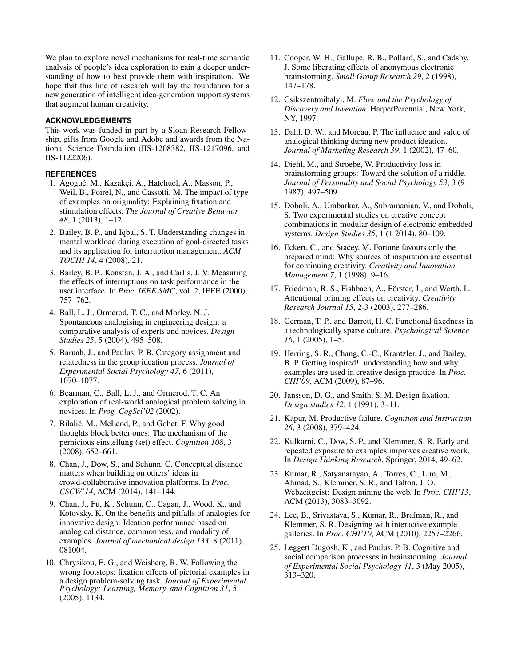We plan to explore novel mechanisms for real-time semantic analysis of people's idea exploration to gain a deeper understanding of how to best provide them with inspiration. We hope that this line of research will lay the foundation for a new generation of intelligent idea-generation support systems that augment human creativity.

# **ACKNOWLEDGEMENTS**

This work was funded in part by a Sloan Research Fellowship, gifts from Google and Adobe and awards from the National Science Foundation (IIS-1208382, IIS-1217096, and IIS-1122206).

# <span id="page-8-9"></span>**REFERENCES**

- 1. Agogué, M., Kazakçi, A., Hatchuel, A., Masson, P., Weil, B., Poirel, N., and Cassotti, M. The impact of type of examples on originality: Explaining fixation and stimulation effects. *The Journal of Creative Behavior 48*, 1 (2013), 1–12.
- <span id="page-8-13"></span>2. Bailey, B. P., and Iqbal, S. T. Understanding changes in mental workload during execution of goal-directed tasks and its application for interruption management. *ACM TOCHI 14*, 4 (2008), 21.
- <span id="page-8-12"></span>3. Bailey, B. P., Konstan, J. A., and Carlis, J. V. Measuring the effects of interruptions on task performance in the user interface. In *Proc. IEEE SMC*, vol. 2, IEEE (2000), 757–762.
- <span id="page-8-21"></span>4. Ball, L. J., Ormerod, T. C., and Morley, N. J. Spontaneous analogising in engineering design: a comparative analysis of experts and novices. *Design Studies 25*, 5 (2004), 495–508.
- <span id="page-8-11"></span>5. Baruah, J., and Paulus, P. B. Category assignment and relatedness in the group ideation process. *Journal of Experimental Social Psychology 47*, 6 (2011), 1070–1077.
- <span id="page-8-20"></span>6. Bearman, C., Ball, L. J., and Ormerod, T. C. An exploration of real-world analogical problem solving in novices. In *Prog. CogSci'02* (2002).
- <span id="page-8-18"></span>7. Bilalic, M., McLeod, P., and Gobet, F. Why good ´ thoughts block better ones: The mechanism of the pernicious einstellung (set) effect. *Cognition 108*, 3 (2008), 652–661.
- <span id="page-8-0"></span>8. Chan, J., Dow, S., and Schunn, C. Conceptual distance matters when building on others' ideas in crowd-collaborative innovation platforms. In *Proc. CSCW'14*, ACM (2014), 141–144.
- <span id="page-8-7"></span>9. Chan, J., Fu, K., Schunn, C., Cagan, J., Wood, K., and Kotovsky, K. On the benefits and pitfalls of analogies for innovative design: Ideation performance based on analogical distance, commonness, and modality of examples. *Journal of mechanical design 133*, 8 (2011), 081004.
- <span id="page-8-4"></span>10. Chrysikou, E. G., and Weisberg, R. W. Following the wrong footsteps: fixation effects of pictorial examples in a design problem-solving task. *Journal of Experimental Psychology: Learning, Memory, and Cognition 31*, 5 (2005), 1134.
- <span id="page-8-23"></span>11. Cooper, W. H., Gallupe, R. B., Pollard, S., and Cadsby, J. Some liberating effects of anonymous electronic brainstorming. *Small Group Research 29*, 2 (1998), 147–178.
- <span id="page-8-14"></span>12. Csikszentmihalyi, M. *Flow and the Psychology of Discovery and Invention*. HarperPerennial, New York, NY, 1997.
- <span id="page-8-8"></span>13. Dahl, D. W., and Moreau, P. The influence and value of analogical thinking during new product ideation. *Journal of Marketing Research 39*, 1 (2002), 47–60.
- <span id="page-8-22"></span>14. Diehl, M., and Stroebe, W. Productivity loss in brainstorming groups: Toward the solution of a riddle. *Journal of Personality and Social Psychology 53*, 3 (9 1987), 497–509.
- <span id="page-8-10"></span>15. Doboli, A., Umbarkar, A., Subramanian, V., and Doboli, S. Two experimental studies on creative concept combinations in modular design of electronic embedded systems. *Design Studies 35*, 1 (1 2014), 80–109.
- <span id="page-8-24"></span>16. Eckert, C., and Stacey, M. Fortune favours only the prepared mind: Why sources of inspiration are essential for continuing creativity. *Creativity and Innovation Management 7*, 1 (1998), 9–16.
- <span id="page-8-17"></span>17. Friedman, R. S., Fishbach, A., Förster, J., and Werth, L. Attentional priming effects on creativity. *Creativity Research Journal 15*, 2-3 (2003), 277–286.
- <span id="page-8-6"></span>18. German, T. P., and Barrett, H. C. Functional fixedness in a technologically sparse culture. *Psychological Science 16*, 1 (2005), 1–5.
- <span id="page-8-1"></span>19. Herring, S. R., Chang, C.-C., Krantzler, J., and Bailey, B. P. Getting inspired!: understanding how and why examples are used in creative design practice. In *Proc. CHI'09*, ACM (2009), 87–96.
- <span id="page-8-5"></span>20. Jansson, D. G., and Smith, S. M. Design fixation. *Design studies 12*, 1 (1991), 3–11.
- <span id="page-8-16"></span>21. Kapur, M. Productive failure. *Cognition and Instruction 26*, 3 (2008), 379–424.
- <span id="page-8-15"></span>22. Kulkarni, C., Dow, S. P., and Klemmer, S. R. Early and repeated exposure to examples improves creative work. In *Design Thinking Research*. Springer, 2014, 49–62.
- <span id="page-8-3"></span>23. Kumar, R., Satyanarayan, A., Torres, C., Lim, M., Ahmad, S., Klemmer, S. R., and Talton, J. O. Webzeitgeist: Design mining the web. In *Proc. CHI'13*, ACM (2013), 3083–3092.
- <span id="page-8-2"></span>24. Lee, B., Srivastava, S., Kumar, R., Brafman, R., and Klemmer, S. R. Designing with interactive example galleries. In *Proc. CHI'10*, ACM (2010), 2257–2266.
- <span id="page-8-19"></span>25. Leggett Dugosh, K., and Paulus, P. B. Cognitive and social comparison processes in brainstorming. *Journal of Experimental Social Psychology 41*, 3 (May 2005), 313–320.